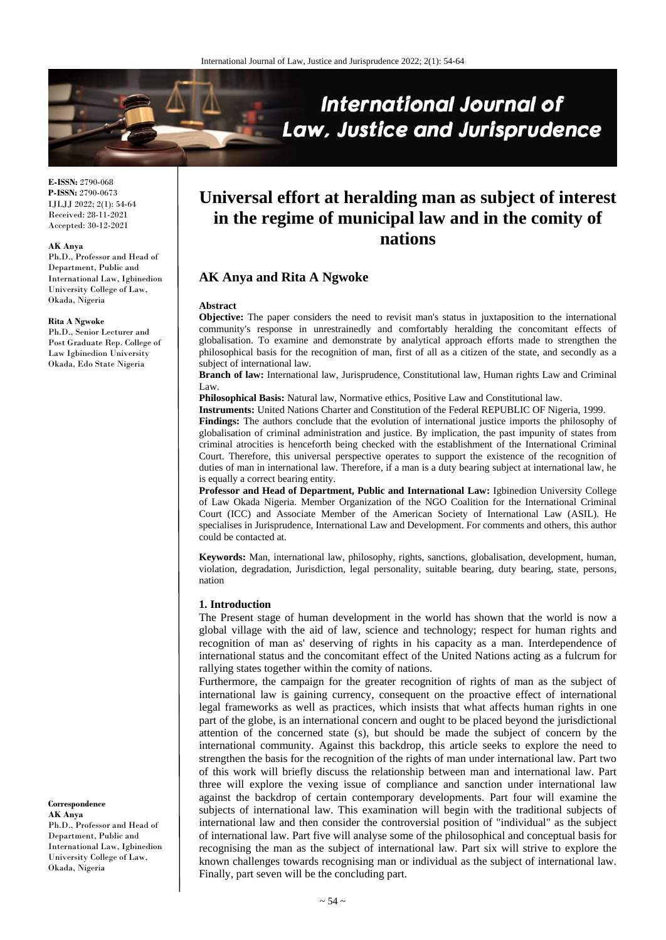

**E-ISSN:** 2790-068 **P-ISSN:** 2790-0673 IJLJJ 2022; 2(1): 54-64 Received: 28-11-2021 Accepted: 30-12-2021

#### **AK Anya**

Ph.D., Professor and Head of Department, Public and International Law, Igbinedion University College of Law, Okada, Nigeria

#### **Rita A Ngwoke**

Ph.D., Senior Lecturer and Post Graduate Rep. College of Law Igbinedion University Okada, Edo State Nigeria

**Correspondence AK Anya** Ph.D., Professor and Head of Department, Public and International Law, Igbinedion University College of Law, Okada, Nigeria

# **Universal effort at heralding man as subject of interest in the regime of municipal law and in the comity of nations**

# **AK Anya and Rita A Ngwoke**

#### **Abstract**

**Objective:** The paper considers the need to revisit man's status in juxtaposition to the international community's response in unrestrainedly and comfortably heralding the concomitant effects of globalisation. To examine and demonstrate by analytical approach efforts made to strengthen the philosophical basis for the recognition of man, first of all as a citizen of the state, and secondly as a subject of international law.

**Branch of law:** International law, Jurisprudence, Constitutional law, Human rights Law and Criminal Law.

**Philosophical Basis:** Natural law, Normative ethics, Positive Law and Constitutional law.

**Instruments:** United Nations Charter and Constitution of the Federal REPUBLIC OF Nigeria, 1999. **Findings:** The authors conclude that the evolution of international justice imports the philosophy of globalisation of criminal administration and justice. By implication, the past impunity of states from criminal atrocities is henceforth being checked with the establishment of the International Criminal Court. Therefore, this universal perspective operates to support the existence of the recognition of duties of man in international law. Therefore, if a man is a duty bearing subject at international law, he is equally a correct bearing entity.

**Professor and Head of Department, Public and International Law:** Igbinedion University College of Law Okada Nigeria. Member Organization of the NGO Coalition for the International Criminal Court (ICC) and Associate Member of the American Society of International Law (ASIL). He specialises in Jurisprudence, International Law and Development. For comments and others, this author could be contacted at.

**Keywords:** Man, international law, philosophy, rights, sanctions, globalisation, development, human, violation, degradation, Jurisdiction, legal personality, suitable bearing, duty bearing, state, persons, nation

#### **1. Introduction**

The Present stage of human development in the world has shown that the world is now a global village with the aid of law, science and technology; respect for human rights and recognition of man as' deserving of rights in his capacity as a man. Interdependence of international status and the concomitant effect of the United Nations acting as a fulcrum for rallying states together within the comity of nations.

Furthermore, the campaign for the greater recognition of rights of man as the subject of international law is gaining currency, consequent on the proactive effect of international legal frameworks as well as practices, which insists that what affects human rights in one part of the globe, is an international concern and ought to be placed beyond the jurisdictional attention of the concerned state (s), but should be made the subject of concern by the international community. Against this backdrop, this article seeks to explore the need to strengthen the basis for the recognition of the rights of man under international law. Part two of this work will briefly discuss the relationship between man and international law. Part three will explore the vexing issue of compliance and sanction under international law against the backdrop of certain contemporary developments. Part four will examine the subjects of international law. This examination will begin with the traditional subjects of international law and then consider the controversial position of "individual" as the subject of international law. Part five will analyse some of the philosophical and conceptual basis for recognising the man as the subject of international law. Part six will strive to explore the known challenges towards recognising man or individual as the subject of international law. Finally, part seven will be the concluding part.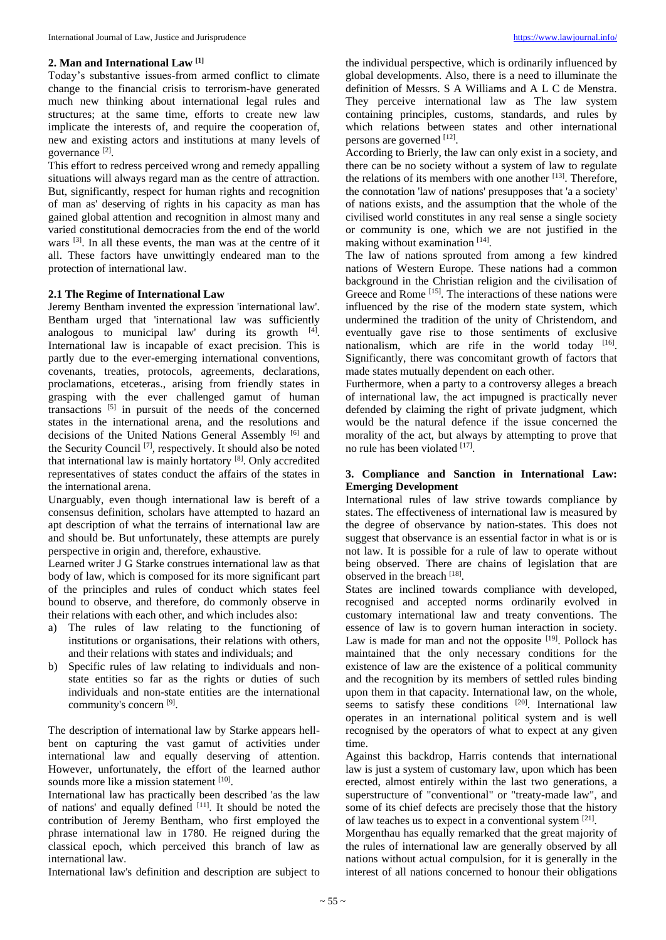#### **2. Man and International Law [1]**

Today's substantive issues-from armed conflict to climate change to the financial crisis to terrorism-have generated much new thinking about international legal rules and structures; at the same time, efforts to create new law implicate the interests of, and require the cooperation of, new and existing actors and institutions at many levels of governance<sup>[2]</sup>.

This effort to redress perceived wrong and remedy appalling situations will always regard man as the centre of attraction. But, significantly, respect for human rights and recognition of man as' deserving of rights in his capacity as man has gained global attention and recognition in almost many and varied constitutional democracies from the end of the world wars [3]. In all these events, the man was at the centre of it all. These factors have unwittingly endeared man to the protection of international law.

#### **2.1 The Regime of International Law**

Jeremy Bentham invented the expression 'international law'. Bentham urged that 'international law was sufficiently analogous to municipal law' during its growth  $[4]$ . International law is incapable of exact precision. This is partly due to the ever-emerging international conventions, covenants, treaties, protocols, agreements, declarations, proclamations, etceteras., arising from friendly states in grasping with the ever challenged gamut of human transactions  $[5]$  in pursuit of the needs of the concerned states in the international arena, and the resolutions and decisions of the United Nations General Assembly [6] and the Security Council [7], respectively. It should also be noted that international law is mainly hortatory [8]. Only accredited representatives of states conduct the affairs of the states in the international arena.

Unarguably, even though international law is bereft of a consensus definition, scholars have attempted to hazard an apt description of what the terrains of international law are and should be. But unfortunately, these attempts are purely perspective in origin and, therefore, exhaustive.

Learned writer J G Starke construes international law as that body of law, which is composed for its more significant part of the principles and rules of conduct which states feel bound to observe, and therefore, do commonly observe in their relations with each other, and which includes also:

- a) The rules of law relating to the functioning of institutions or organisations, their relations with others, and their relations with states and individuals; and
- b) Specific rules of law relating to individuals and nonstate entities so far as the rights or duties of such individuals and non-state entities are the international community's concern [9].

The description of international law by Starke appears hellbent on capturing the vast gamut of activities under international law and equally deserving of attention. However, unfortunately, the effort of the learned author sounds more like a mission statement [10].

International law has practically been described 'as the law of nations' and equally defined [11]. It should be noted the contribution of Jeremy Bentham, who first employed the phrase international law in 1780. He reigned during the classical epoch, which perceived this branch of law as international law.

International law's definition and description are subject to

the individual perspective, which is ordinarily influenced by global developments. Also, there is a need to illuminate the definition of Messrs. S A Williams and A L C de Menstra. They perceive international law as The law system containing principles, customs, standards, and rules by which relations between states and other international persons are governed [12].

According to Brierly, the law can only exist in a society, and there can be no society without a system of law to regulate the relations of its members with one another  $[13]$ . Therefore, the connotation 'law of nations' presupposes that 'a a society' of nations exists, and the assumption that the whole of the civilised world constitutes in any real sense a single society or community is one, which we are not justified in the making without examination [14].

The law of nations sprouted from among a few kindred nations of Western Europe. These nations had a common background in the Christian religion and the civilisation of Greece and Rome [15]. The interactions of these nations were influenced by the rise of the modern state system, which undermined the tradition of the unity of Christendom, and eventually gave rise to those sentiments of exclusive nationalism, which are rife in the world today  $[16]$ . Significantly, there was concomitant growth of factors that made states mutually dependent on each other.

Furthermore, when a party to a controversy alleges a breach of international law, the act impugned is practically never defended by claiming the right of private judgment, which would be the natural defence if the issue concerned the morality of the act, but always by attempting to prove that no rule has been violated [17] .

# **3. Compliance and Sanction in International Law: Emerging Development**

International rules of law strive towards compliance by states. The effectiveness of international law is measured by the degree of observance by nation-states. This does not suggest that observance is an essential factor in what is or is not law. It is possible for a rule of law to operate without being observed. There are chains of legislation that are observed in the breach [18].

States are inclined towards compliance with developed, recognised and accepted norms ordinarily evolved in customary international law and treaty conventions. The essence of law is to govern human interaction in society. Law is made for man and not the opposite  $[19]$ . Pollock has maintained that the only necessary conditions for the existence of law are the existence of a political community and the recognition by its members of settled rules binding upon them in that capacity. International law, on the whole, seems to satisfy these conditions  $[20]$ . International law operates in an international political system and is well recognised by the operators of what to expect at any given time.

Against this backdrop, Harris contends that international law is just a system of customary law, upon which has been erected, almost entirely within the last two generations, a superstructure of "conventional" or "treaty-made law", and some of its chief defects are precisely those that the history of law teaches us to expect in a conventional system [21].

Morgenthau has equally remarked that the great majority of the rules of international law are generally observed by all nations without actual compulsion, for it is generally in the interest of all nations concerned to honour their obligations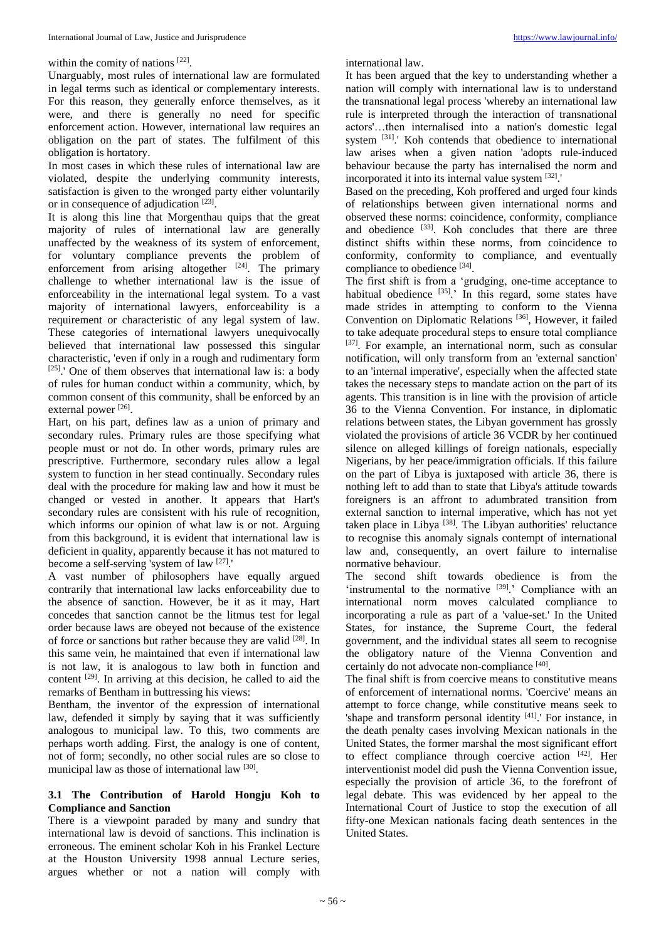within the comity of nations [22].

Unarguably, most rules of international law are formulated in legal terms such as identical or complementary interests. For this reason, they generally enforce themselves, as it were, and there is generally no need for specific enforcement action. However, international law requires an obligation on the part of states. The fulfilment of this obligation is hortatory.

In most cases in which these rules of international law are violated, despite the underlying community interests, satisfaction is given to the wronged party either voluntarily or in consequence of adjudication [23].

It is along this line that Morgenthau quips that the great majority of rules of international law are generally unaffected by the weakness of its system of enforcement, for voluntary compliance prevents the problem of enforcement from arising altogether  $[24]$ . The primary challenge to whether international law is the issue of enforceability in the international legal system. To a vast majority of international lawyers, enforceability is a requirement or characteristic of any legal system of law. These categories of international lawyers unequivocally believed that international law possessed this singular characteristic, 'even if only in a rough and rudimentary form  $[25]$ .' One of them observes that international law is: a body of rules for human conduct within a community, which, by common consent of this community, shall be enforced by an external power [26].

Hart, on his part, defines law as a union of primary and secondary rules. Primary rules are those specifying what people must or not do. In other words, primary rules are prescriptive. Furthermore, secondary rules allow a legal system to function in her stead continually. Secondary rules deal with the procedure for making law and how it must be changed or vested in another. It appears that Hart's secondary rules are consistent with his rule of recognition, which informs our opinion of what law is or not. Arguing from this background, it is evident that international law is deficient in quality, apparently because it has not matured to become a self-serving 'system of law [27].'

A vast number of philosophers have equally argued contrarily that international law lacks enforceability due to the absence of sanction. However, be it as it may, Hart concedes that sanction cannot be the litmus test for legal order because laws are obeyed not because of the existence of force or sanctions but rather because they are valid [28]. In this same vein, he maintained that even if international law is not law, it is analogous to law both in function and content [29]. In arriving at this decision, he called to aid the remarks of Bentham in buttressing his views:

Bentham, the inventor of the expression of international law, defended it simply by saying that it was sufficiently analogous to municipal law. To this, two comments are perhaps worth adding. First, the analogy is one of content, not of form; secondly, no other social rules are so close to municipal law as those of international law [30].

## **3.1 The Contribution of Harold Hongju Koh to Compliance and Sanction**

There is a viewpoint paraded by many and sundry that international law is devoid of sanctions. This inclination is erroneous. The eminent scholar Koh in his Frankel Lecture at the Houston University 1998 annual Lecture series, argues whether or not a nation will comply with

international law.

It has been argued that the key to understanding whether a nation will comply with international law is to understand the transnational legal process 'whereby an international law rule is interpreted through the interaction of transnational actors'…then internalised into a nation's domestic legal system <sup>[31]</sup>.' Koh contends that obedience to international law arises when a given nation 'adopts rule-induced behaviour because the party has internalised the norm and incorporated it into its internal value system [32].'

Based on the preceding, Koh proffered and urged four kinds of relationships between given international norms and observed these norms: coincidence, conformity, compliance and obedience [33]. Koh concludes that there are three distinct shifts within these norms, from coincidence to conformity, conformity to compliance, and eventually compliance to obedience [34].

The first shift is from a 'grudging, one-time acceptance to habitual obedience  $[35]$ .' In this regard, some states have made strides in attempting to conform to the Vienna Convention on Diplomatic Relations [36], However, it failed to take adequate procedural steps to ensure total compliance [37]. For example, an international norm, such as consular notification, will only transform from an 'external sanction' to an 'internal imperative', especially when the affected state takes the necessary steps to mandate action on the part of its agents. This transition is in line with the provision of article 36 to the Vienna Convention. For instance, in diplomatic relations between states, the Libyan government has grossly violated the provisions of article 36 VCDR by her continued silence on alleged killings of foreign nationals, especially Nigerians, by her peace/immigration officials. If this failure on the part of Libya is juxtaposed with article 36, there is nothing left to add than to state that Libya's attitude towards foreigners is an affront to adumbrated transition from external sanction to internal imperative, which has not yet taken place in Libya<sup>[38]</sup>. The Libyan authorities' reluctance to recognise this anomaly signals contempt of international law and, consequently, an overt failure to internalise normative behaviour.

The second shift towards obedience is from the 'instrumental to the normative  $[39]$ .' Compliance with an international norm moves calculated compliance to incorporating a rule as part of a 'value-set.' In the United States, for instance, the Supreme Court, the federal government, and the individual states all seem to recognise the obligatory nature of the Vienna Convention and certainly do not advocate non-compliance [40].

The final shift is from coercive means to constitutive means of enforcement of international norms. 'Coercive' means an attempt to force change, while constitutive means seek to 'shape and transform personal identity  $[41]$ .' For instance, in the death penalty cases involving Mexican nationals in the United States, the former marshal the most significant effort to effect compliance through coercive action [42]. Her interventionist model did push the Vienna Convention issue, especially the provision of article 36, to the forefront of legal debate. This was evidenced by her appeal to the International Court of Justice to stop the execution of all fifty-one Mexican nationals facing death sentences in the United States.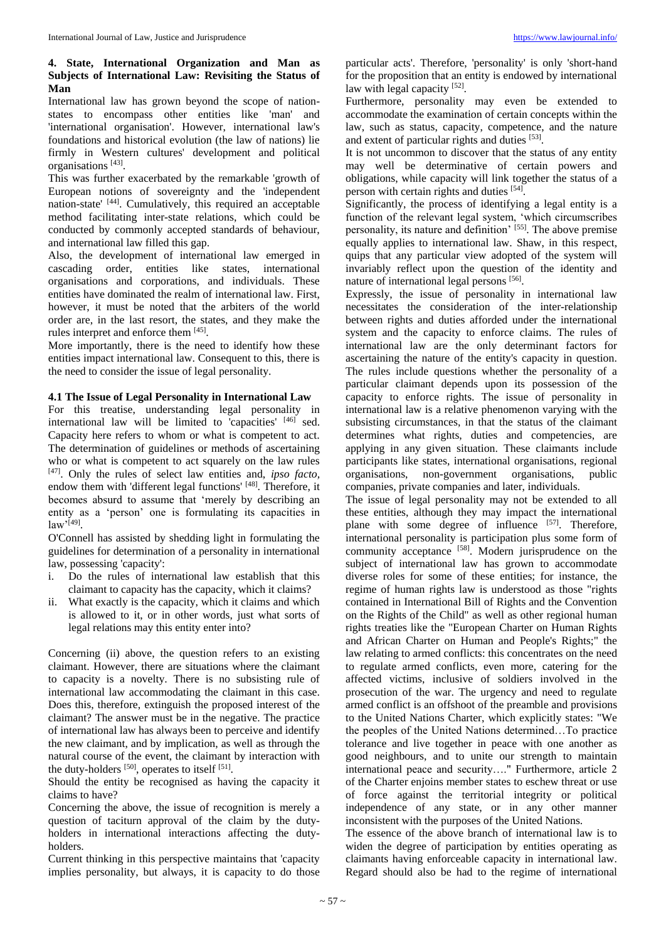## **4. State, International Organization and Man as Subjects of International Law: Revisiting the Status of Man**

International law has grown beyond the scope of nationstates to encompass other entities like 'man' and 'international organisation'. However, international law's foundations and historical evolution (the law of nations) lie firmly in Western cultures' development and political organisations [43] .

This was further exacerbated by the remarkable 'growth of European notions of sovereignty and the 'independent nation-state' [44]. Cumulatively, this required an acceptable method facilitating inter-state relations, which could be conducted by commonly accepted standards of behaviour, and international law filled this gap.

Also, the development of international law emerged in cascading order, entities like states, international organisations and corporations, and individuals. These entities have dominated the realm of international law. First, however, it must be noted that the arbiters of the world order are, in the last resort, the states, and they make the rules interpret and enforce them [45].

More importantly, there is the need to identify how these entities impact international law. Consequent to this, there is the need to consider the issue of legal personality.

#### **4.1 The Issue of Legal Personality in International Law**

For this treatise, understanding legal personality in international law will be limited to 'capacities' [46] sed. Capacity here refers to whom or what is competent to act. The determination of guidelines or methods of ascertaining who or what is competent to act squarely on the law rules [47] . Only the rules of select law entities and, *ipso facto,* endow them with 'different legal functions' [48]. Therefore, it becomes absurd to assume that 'merely by describing an entity as a 'person' one is formulating its capacities in law'[49] .

O'Connell has assisted by shedding light in formulating the guidelines for determination of a personality in international law, possessing 'capacity':

- i. Do the rules of international law establish that this claimant to capacity has the capacity, which it claims?
- ii. What exactly is the capacity, which it claims and which is allowed to it, or in other words, just what sorts of legal relations may this entity enter into?

Concerning (ii) above, the question refers to an existing claimant. However, there are situations where the claimant to capacity is a novelty. There is no subsisting rule of international law accommodating the claimant in this case. Does this, therefore, extinguish the proposed interest of the claimant? The answer must be in the negative. The practice of international law has always been to perceive and identify the new claimant, and by implication, as well as through the natural course of the event, the claimant by interaction with the duty-holders  $[50]$ , operates to itself  $[51]$ .

Should the entity be recognised as having the capacity it claims to have?

Concerning the above, the issue of recognition is merely a question of taciturn approval of the claim by the dutyholders in international interactions affecting the dutyholders.

Current thinking in this perspective maintains that 'capacity implies personality, but always, it is capacity to do those particular acts'. Therefore, 'personality' is only 'short-hand for the proposition that an entity is endowed by international law with legal capacity [52].

Furthermore, personality may even be extended to accommodate the examination of certain concepts within the law, such as status, capacity, competence, and the nature and extent of particular rights and duties [53].

It is not uncommon to discover that the status of any entity may well be determinative of certain powers and obligations, while capacity will link together the status of a person with certain rights and duties [54].

Significantly, the process of identifying a legal entity is a function of the relevant legal system, 'which circumscribes personality, its nature and definition' [55]. The above premise equally applies to international law. Shaw, in this respect, quips that any particular view adopted of the system will invariably reflect upon the question of the identity and nature of international legal persons [56].

Expressly, the issue of personality in international law necessitates the consideration of the inter-relationship between rights and duties afforded under the international system and the capacity to enforce claims. The rules of international law are the only determinant factors for ascertaining the nature of the entity's capacity in question. The rules include questions whether the personality of a particular claimant depends upon its possession of the capacity to enforce rights. The issue of personality in international law is a relative phenomenon varying with the subsisting circumstances, in that the status of the claimant determines what rights, duties and competencies, are applying in any given situation. These claimants include participants like states, international organisations, regional organisations, non-government organisations, public companies, private companies and later, individuals.

The issue of legal personality may not be extended to all these entities, although they may impact the international plane with some degree of influence [57]. Therefore, international personality is participation plus some form of community acceptance [58]. Modern jurisprudence on the subject of international law has grown to accommodate diverse roles for some of these entities; for instance, the regime of human rights law is understood as those "rights contained in International Bill of Rights and the Convention on the Rights of the Child" as well as other regional human rights treaties like the "European Charter on Human Rights and African Charter on Human and People's Rights;" the law relating to armed conflicts: this concentrates on the need to regulate armed conflicts, even more, catering for the affected victims, inclusive of soldiers involved in the prosecution of the war. The urgency and need to regulate armed conflict is an offshoot of the preamble and provisions to the United Nations Charter, which explicitly states: "We the peoples of the United Nations determined…To practice tolerance and live together in peace with one another as good neighbours, and to unite our strength to maintain international peace and security…." Furthermore, article 2 of the Charter enjoins member states to eschew threat or use of force against the territorial integrity or political independence of any state, or in any other manner inconsistent with the purposes of the United Nations.

The essence of the above branch of international law is to widen the degree of participation by entities operating as claimants having enforceable capacity in international law. Regard should also be had to the regime of international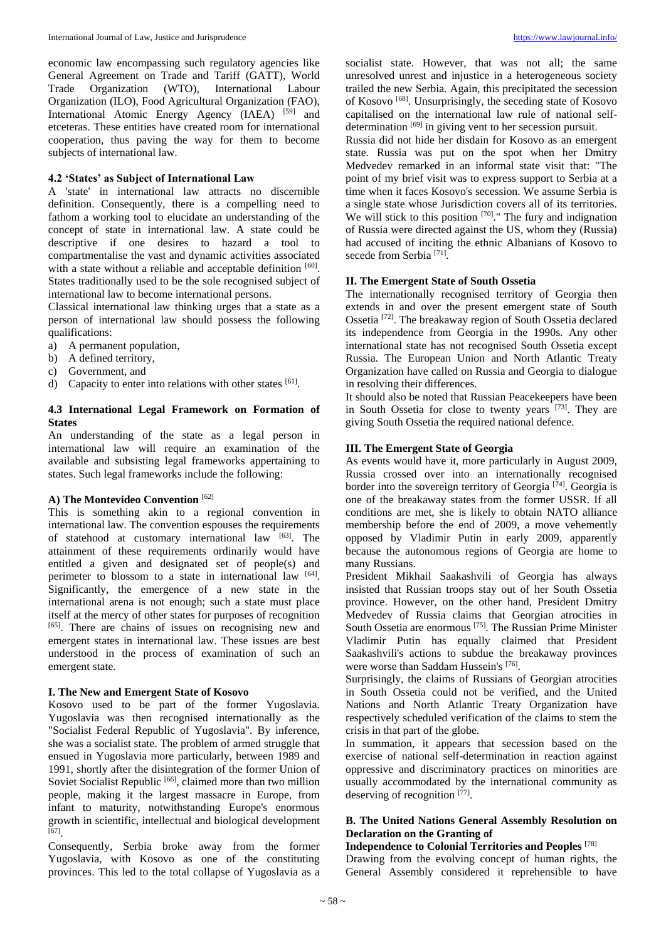economic law encompassing such regulatory agencies like General Agreement on Trade and Tariff (GATT), World Trade Organization (WTO), International Labour Organization (ILO), Food Agricultural Organization (FAO), International Atomic Energy Agency (IAEA) [59] and etceteras. These entities have created room for international cooperation, thus paving the way for them to become subjects of international law.

#### **4.2 'States' as Subject of International Law**

A 'state' in international law attracts no discernible definition. Consequently, there is a compelling need to fathom a working tool to elucidate an understanding of the concept of state in international law. A state could be descriptive if one desires to hazard a tool to compartmentalise the vast and dynamic activities associated with a state without a reliable and acceptable definition [60]. States traditionally used to be the sole recognised subject of international law to become international persons.

Classical international law thinking urges that a state as a person of international law should possess the following qualifications:

- a) A permanent population,
- b) A defined territory,
- c) Government, and
- d) Capacity to enter into relations with other states  $[61]$ .

## **4.3 International Legal Framework on Formation of States**

An understanding of the state as a legal person in international law will require an examination of the available and subsisting legal frameworks appertaining to states. Such legal frameworks include the following:

# **A) The Montevideo Convention** [62]

This is something akin to a regional convention in international law. The convention espouses the requirements of statehood at customary international law [63]. The attainment of these requirements ordinarily would have entitled a given and designated set of people(s) and perimeter to blossom to a state in international law [64]. Significantly, the emergence of a new state in the international arena is not enough; such a state must place itself at the mercy of other states for purposes of recognition [65]. There are chains of issues on recognising new and emergent states in international law. These issues are best understood in the process of examination of such an emergent state.

#### **I. The New and Emergent State of Kosovo**

Kosovo used to be part of the former Yugoslavia. Yugoslavia was then recognised internationally as the "Socialist Federal Republic of Yugoslavia". By inference, she was a socialist state. The problem of armed struggle that ensued in Yugoslavia more particularly, between 1989 and 1991, shortly after the disintegration of the former Union of Soviet Socialist Republic [66], claimed more than two million people, making it the largest massacre in Europe, from infant to maturity, notwithstanding Europe's enormous growth in scientific, intellectual and biological development  $[67]$ .

Consequently, Serbia broke away from the former Yugoslavia, with Kosovo as one of the constituting provinces. This led to the total collapse of Yugoslavia as a socialist state. However, that was not all; the same unresolved unrest and injustice in a heterogeneous society trailed the new Serbia. Again, this precipitated the secession of Kosovo [68]. Unsurprisingly, the seceding state of Kosovo capitalised on the international law rule of national selfdetermination [69] in giving vent to her secession pursuit.

Russia did not hide her disdain for Kosovo as an emergent state. Russia was put on the spot when her Dmitry Medvedev remarked in an informal state visit that: "The point of my brief visit was to express support to Serbia at a time when it faces Kosovo's secession. We assume Serbia is a single state whose Jurisdiction covers all of its territories. We will stick to this position  $[70]$ ." The fury and indignation of Russia were directed against the US, whom they (Russia) had accused of inciting the ethnic Albanians of Kosovo to secede from Serbia<sup>[71]</sup>.

## **II. The Emergent State of South Ossetia**

The internationally recognised territory of Georgia then extends in and over the present emergent state of South Ossetia [72]. The breakaway region of South Ossetia declared its independence from Georgia in the 1990s. Any other international state has not recognised South Ossetia except Russia. The European Union and North Atlantic Treaty Organization have called on Russia and Georgia to dialogue in resolving their differences.

It should also be noted that Russian Peacekeepers have been in South Ossetia for close to twenty years [73]. They are giving South Ossetia the required national defence.

## **III. The Emergent State of Georgia**

As events would have it, more particularly in August 2009, Russia crossed over into an internationally recognised border into the sovereign territory of Georgia  $[74]$ . Georgia is one of the breakaway states from the former USSR. If all conditions are met, she is likely to obtain NATO alliance membership before the end of 2009, a move vehemently opposed by Vladimir Putin in early 2009, apparently because the autonomous regions of Georgia are home to many Russians.

President Mikhail Saakashvili of Georgia has always insisted that Russian troops stay out of her South Ossetia province. However, on the other hand, President Dmitry Medvedev of Russia claims that Georgian atrocities in South Ossetia are enormous [75]. The Russian Prime Minister Vladimir Putin has equally claimed that President Saakashvili's actions to subdue the breakaway provinces were worse than Saddam Hussein's [76].

Surprisingly, the claims of Russians of Georgian atrocities in South Ossetia could not be verified, and the United Nations and North Atlantic Treaty Organization have respectively scheduled verification of the claims to stem the crisis in that part of the globe.

In summation, it appears that secession based on the exercise of national self-determination in reaction against oppressive and discriminatory practices on minorities are usually accommodated by the international community as deserving of recognition [77].

# **B. The United Nations General Assembly Resolution on Declaration on the Granting of**

#### **Independence to Colonial Territories and Peoples** [78]

Drawing from the evolving concept of human rights, the General Assembly considered it reprehensible to have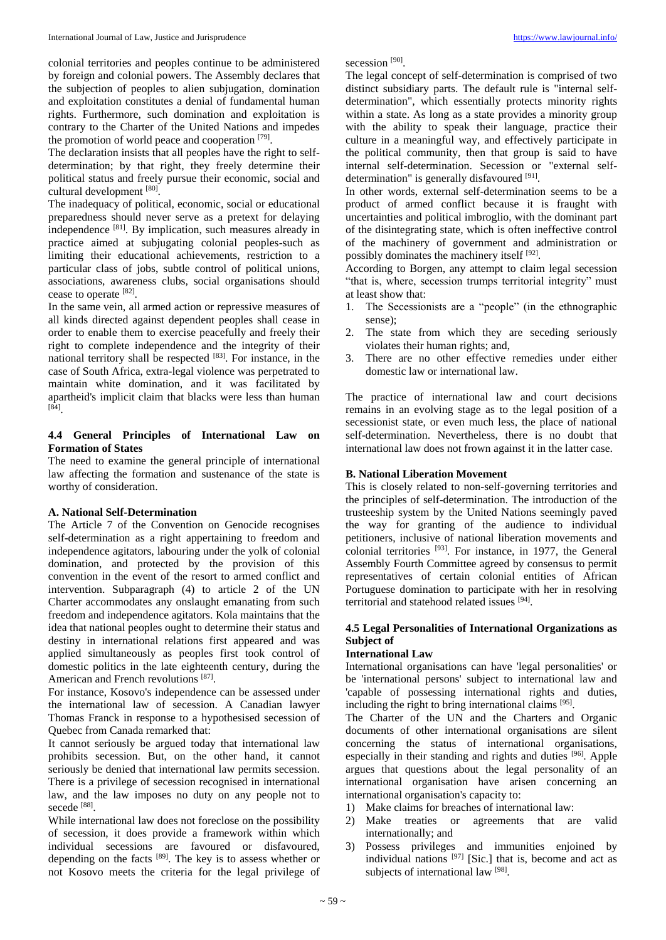colonial territories and peoples continue to be administered secession<sup>[90]</sup>.

by foreign and colonial powers. The Assembly declares that the subjection of peoples to alien subjugation, domination and exploitation constitutes a denial of fundamental human rights. Furthermore, such domination and exploitation is contrary to the Charter of the United Nations and impedes the promotion of world peace and cooperation [79].

The declaration insists that all peoples have the right to selfdetermination; by that right, they freely determine their political status and freely pursue their economic, social and cultural development [80].

The inadequacy of political, economic, social or educational preparedness should never serve as a pretext for delaying independence [81]. By implication, such measures already in practice aimed at subjugating colonial peoples-such as limiting their educational achievements, restriction to a particular class of jobs, subtle control of political unions, associations, awareness clubs, social organisations should cease to operate [82].

In the same vein, all armed action or repressive measures of all kinds directed against dependent peoples shall cease in order to enable them to exercise peacefully and freely their right to complete independence and the integrity of their national territory shall be respected [83]. For instance, in the case of South Africa, extra-legal violence was perpetrated to maintain white domination, and it was facilitated by apartheid's implicit claim that blacks were less than human [84] .

## **4.4 General Principles of International Law on Formation of States**

The need to examine the general principle of international law affecting the formation and sustenance of the state is worthy of consideration.

## **A. National Self-Determination**

The Article 7 of the Convention on Genocide recognises self-determination as a right appertaining to freedom and independence agitators, labouring under the yolk of colonial domination, and protected by the provision of this convention in the event of the resort to armed conflict and intervention. Subparagraph (4) to article 2 of the UN Charter accommodates any onslaught emanating from such freedom and independence agitators. Kola maintains that the idea that national peoples ought to determine their status and destiny in international relations first appeared and was applied simultaneously as peoples first took control of domestic politics in the late eighteenth century, during the American and French revolutions [87].

For instance, Kosovo's independence can be assessed under the international law of secession. A Canadian lawyer Thomas Franck in response to a hypothesised secession of Quebec from Canada remarked that:

It cannot seriously be argued today that international law prohibits secession. But, on the other hand, it cannot seriously be denied that international law permits secession. There is a privilege of secession recognised in international law, and the law imposes no duty on any people not to secede<sup>[88]</sup>.

While international law does not foreclose on the possibility of secession, it does provide a framework within which individual secessions are favoured or disfavoured, depending on the facts  $[89]$ . The key is to assess whether or not Kosovo meets the criteria for the legal privilege of

The legal concept of self-determination is comprised of two distinct subsidiary parts. The default rule is "internal selfdetermination", which essentially protects minority rights within a state. As long as a state provides a minority group with the ability to speak their language, practice their culture in a meaningful way, and effectively participate in the political community, then that group is said to have internal self-determination. Secession or "external selfdetermination" is generally disfavoured [91].

In other words, external self-determination seems to be a product of armed conflict because it is fraught with uncertainties and political imbroglio, with the dominant part of the disintegrating state, which is often ineffective control of the machinery of government and administration or possibly dominates the machinery itself [92].

According to Borgen, any attempt to claim legal secession "that is, where, secession trumps territorial integrity" must at least show that:

- 1. The Secessionists are a "people" (in the ethnographic sense);
- 2. The state from which they are seceding seriously violates their human rights; and,
- 3. There are no other effective remedies under either domestic law or international law.

The practice of international law and court decisions remains in an evolving stage as to the legal position of a secessionist state, or even much less, the place of national self-determination. Nevertheless, there is no doubt that international law does not frown against it in the latter case.

# **B. National Liberation Movement**

This is closely related to non-self-governing territories and the principles of self-determination. The introduction of the trusteeship system by the United Nations seemingly paved the way for granting of the audience to individual petitioners, inclusive of national liberation movements and colonial territories [93]. For instance, in 1977, the General Assembly Fourth Committee agreed by consensus to permit representatives of certain colonial entities of African Portuguese domination to participate with her in resolving territorial and statehood related issues [94] .

# **4.5 Legal Personalities of International Organizations as Subject of**

# **International Law**

International organisations can have 'legal personalities' or be 'international persons' subject to international law and 'capable of possessing international rights and duties, including the right to bring international claims [95].

The Charter of the UN and the Charters and Organic documents of other international organisations are silent concerning the status of international organisations, especially in their standing and rights and duties [96]. Apple argues that questions about the legal personality of an international organisation have arisen concerning an international organisation's capacity to:

- 1) Make claims for breaches of international law:
- 2) Make treaties or agreements that are valid internationally; and
- 3) Possess privileges and immunities enjoined by individual nations  $[97]$  [Sic.] that is, become and act as subjects of international law [98].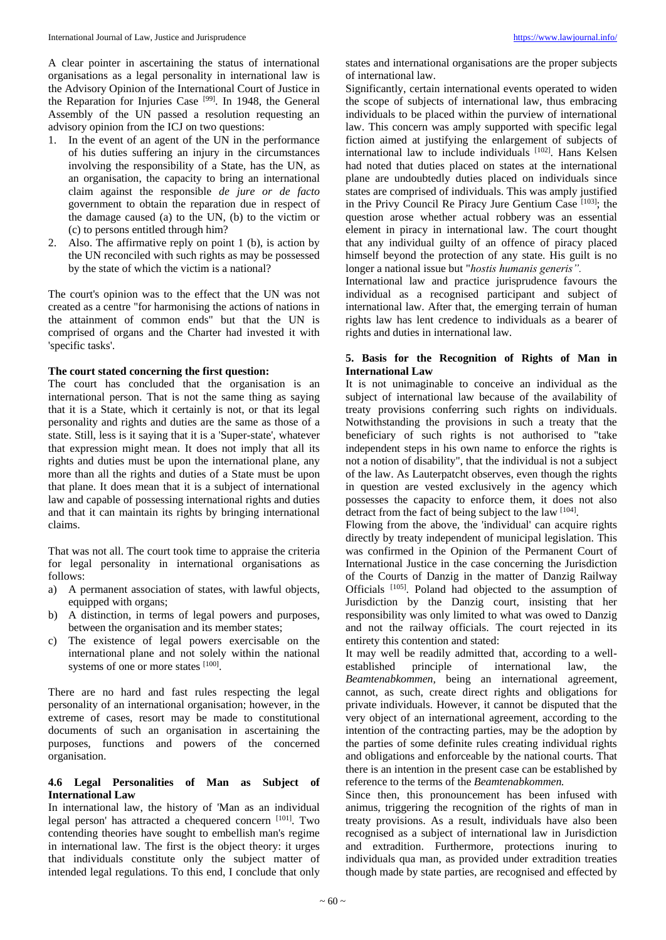A clear pointer in ascertaining the status of international organisations as a legal personality in international law is the Advisory Opinion of the International Court of Justice in the Reparation for Injuries Case <sup>[99]</sup>. In 1948, the General Assembly of the UN passed a resolution requesting an advisory opinion from the ICJ on two questions:

- 1. In the event of an agent of the UN in the performance of his duties suffering an injury in the circumstances involving the responsibility of a State, has the UN, as an organisation, the capacity to bring an international claim against the responsible *de jure or de facto* government to obtain the reparation due in respect of the damage caused (a) to the UN, (b) to the victim or (c) to persons entitled through him?
- 2. Also. The affirmative reply on point 1 (b), is action by the UN reconciled with such rights as may be possessed by the state of which the victim is a national?

The court's opinion was to the effect that the UN was not created as a centre "for harmonising the actions of nations in the attainment of common ends" but that the UN is comprised of organs and the Charter had invested it with 'specific tasks'.

#### **The court stated concerning the first question:**

The court has concluded that the organisation is an international person. That is not the same thing as saying that it is a State, which it certainly is not, or that its legal personality and rights and duties are the same as those of a state. Still, less is it saying that it is a 'Super-state', whatever that expression might mean. It does not imply that all its rights and duties must be upon the international plane, any more than all the rights and duties of a State must be upon that plane. It does mean that it is a subject of international law and capable of possessing international rights and duties and that it can maintain its rights by bringing international claims.

That was not all. The court took time to appraise the criteria for legal personality in international organisations as follows:

- a) A permanent association of states, with lawful objects, equipped with organs;
- b) A distinction, in terms of legal powers and purposes, between the organisation and its member states;
- c) The existence of legal powers exercisable on the international plane and not solely within the national systems of one or more states [100].

There are no hard and fast rules respecting the legal personality of an international organisation; however, in the extreme of cases, resort may be made to constitutional documents of such an organisation in ascertaining the purposes, functions and powers of the concerned organisation.

#### **4.6 Legal Personalities of Man as Subject of International Law**

In international law, the history of 'Man as an individual legal person' has attracted a chequered concern [101]. Two contending theories have sought to embellish man's regime in international law. The first is the object theory: it urges that individuals constitute only the subject matter of intended legal regulations. To this end, I conclude that only

states and international organisations are the proper subjects of international law.

Significantly, certain international events operated to widen the scope of subjects of international law, thus embracing individuals to be placed within the purview of international law. This concern was amply supported with specific legal fiction aimed at justifying the enlargement of subjects of international law to include individuals [102]. Hans Kelsen had noted that duties placed on states at the international plane are undoubtedly duties placed on individuals since states are comprised of individuals. This was amply justified in the Privy Council Re Piracy Jure Gentium Case [103]; the question arose whether actual robbery was an essential element in piracy in international law. The court thought that any individual guilty of an offence of piracy placed himself beyond the protection of any state. His guilt is no longer a national issue but "*hostis humanis generis".*

International law and practice jurisprudence favours the individual as a recognised participant and subject of international law. After that, the emerging terrain of human rights law has lent credence to individuals as a bearer of rights and duties in international law.

# **5. Basis for the Recognition of Rights of Man in International Law**

It is not unimaginable to conceive an individual as the subject of international law because of the availability of treaty provisions conferring such rights on individuals. Notwithstanding the provisions in such a treaty that the beneficiary of such rights is not authorised to "take independent steps in his own name to enforce the rights is not a notion of disability", that the individual is not a subject of the law. As Lauterpatcht observes, even though the rights in question are vested exclusively in the agency which possesses the capacity to enforce them, it does not also detract from the fact of being subject to the law [104].

Flowing from the above, the 'individual' can acquire rights directly by treaty independent of municipal legislation. This was confirmed in the Opinion of the Permanent Court of International Justice in the case concerning the Jurisdiction of the Courts of Danzig in the matter of Danzig Railway Officials [105]. Poland had objected to the assumption of Jurisdiction by the Danzig court, insisting that her responsibility was only limited to what was owed to Danzig and not the railway officials. The court rejected in its entirety this contention and stated:

It may well be readily admitted that, according to a wellestablished principle of international law, the *Beamtenabkommen,* being an international agreement, cannot, as such, create direct rights and obligations for private individuals. However, it cannot be disputed that the very object of an international agreement, according to the intention of the contracting parties, may be the adoption by the parties of some definite rules creating individual rights and obligations and enforceable by the national courts. That there is an intention in the present case can be established by reference to the terms of the *Beamtenabkommen.*

Since then, this pronouncement has been infused with animus, triggering the recognition of the rights of man in treaty provisions. As a result, individuals have also been recognised as a subject of international law in Jurisdiction and extradition. Furthermore, protections inuring to individuals qua man, as provided under extradition treaties though made by state parties, are recognised and effected by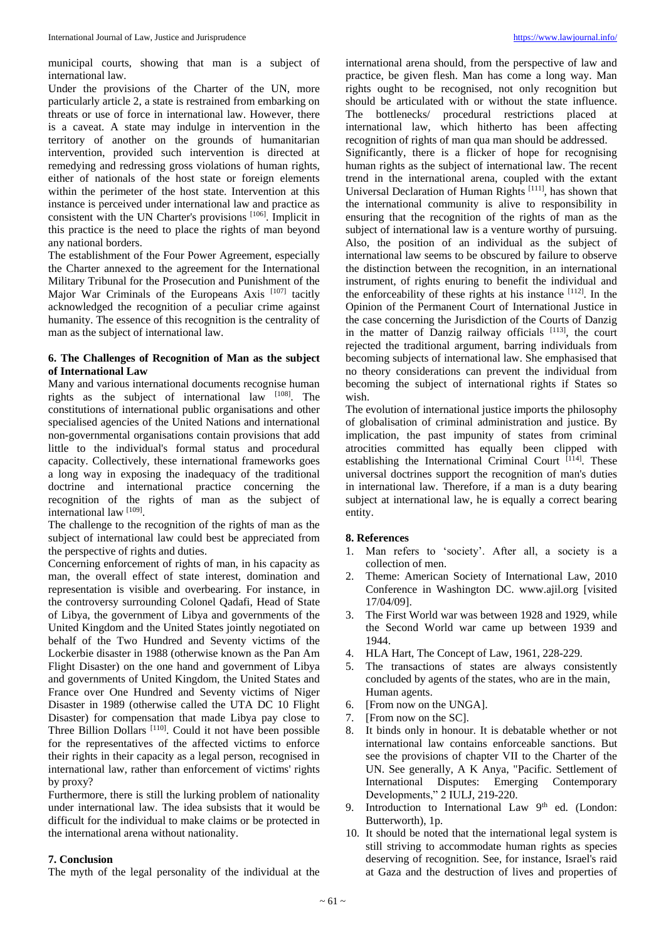municipal courts, showing that man is a subject of international law.

Under the provisions of the Charter of the UN, more particularly article 2, a state is restrained from embarking on threats or use of force in international law. However, there is a caveat. A state may indulge in intervention in the territory of another on the grounds of humanitarian intervention, provided such intervention is directed at remedying and redressing gross violations of human rights, either of nationals of the host state or foreign elements within the perimeter of the host state. Intervention at this instance is perceived under international law and practice as consistent with the UN Charter's provisions [106]. Implicit in this practice is the need to place the rights of man beyond any national borders.

The establishment of the Four Power Agreement, especially the Charter annexed to the agreement for the International Military Tribunal for the Prosecution and Punishment of the Major War Criminals of the Europeans Axis [107] tacitly acknowledged the recognition of a peculiar crime against humanity. The essence of this recognition is the centrality of man as the subject of international law.

#### **6. The Challenges of Recognition of Man as the subject of International Law**

Many and various international documents recognise human rights as the subject of international law [108]. The constitutions of international public organisations and other specialised agencies of the United Nations and international non-governmental organisations contain provisions that add little to the individual's formal status and procedural capacity. Collectively, these international frameworks goes a long way in exposing the inadequacy of the traditional doctrine and international practice concerning the recognition of the rights of man as the subject of international law [109].

The challenge to the recognition of the rights of man as the subject of international law could best be appreciated from the perspective of rights and duties.

Concerning enforcement of rights of man, in his capacity as man, the overall effect of state interest, domination and representation is visible and overbearing. For instance, in the controversy surrounding Colonel Qadafi, Head of State of Libya, the government of Libya and governments of the United Kingdom and the United States jointly negotiated on behalf of the Two Hundred and Seventy victims of the Lockerbie disaster in 1988 (otherwise known as the Pan Am Flight Disaster) on the one hand and government of Libya and governments of United Kingdom, the United States and France over One Hundred and Seventy victims of Niger Disaster in 1989 (otherwise called the UTA DC 10 Flight Disaster) for compensation that made Libya pay close to Three Billion Dollars <sup>[110]</sup>. Could it not have been possible for the representatives of the affected victims to enforce their rights in their capacity as a legal person, recognised in international law, rather than enforcement of victims' rights by proxy?

Furthermore, there is still the lurking problem of nationality under international law. The idea subsists that it would be difficult for the individual to make claims or be protected in the international arena without nationality.

#### **7. Conclusion**

The myth of the legal personality of the individual at the

international arena should, from the perspective of law and practice, be given flesh. Man has come a long way. Man rights ought to be recognised, not only recognition but should be articulated with or without the state influence. The bottlenecks/ procedural restrictions placed at international law, which hitherto has been affecting recognition of rights of man qua man should be addressed. Significantly, there is a flicker of hope for recognising human rights as the subject of international law. The recent trend in the international arena, coupled with the extant Universal Declaration of Human Rights [111], has shown that the international community is alive to responsibility in ensuring that the recognition of the rights of man as the subject of international law is a venture worthy of pursuing. Also, the position of an individual as the subject of international law seems to be obscured by failure to observe the distinction between the recognition, in an international instrument, of rights enuring to benefit the individual and the enforceability of these rights at his instance  $[112]$ . In the Opinion of the Permanent Court of International Justice in the case concerning the Jurisdiction of the Courts of Danzig in the matter of Danzig railway officials [113], the court rejected the traditional argument, barring individuals from becoming subjects of international law. She emphasised that no theory considerations can prevent the individual from becoming the subject of international rights if States so wish.

The evolution of international justice imports the philosophy of globalisation of criminal administration and justice. By implication, the past impunity of states from criminal atrocities committed has equally been clipped with establishing the International Criminal Court [114]. These universal doctrines support the recognition of man's duties in international law. Therefore, if a man is a duty bearing subject at international law, he is equally a correct bearing entity.

#### **8. References**

- 1. Man refers to 'society'. After all, a society is a collection of men.
- 2. Theme: American Society of International Law, 2010 Conference in Washington DC. www.ajil.org [visited 17/04/09].
- 3. The First World war was between 1928 and 1929, while the Second World war came up between 1939 and 1944.
- 4. HLA Hart, The Concept of Law, 1961, 228-229.
- 5. The transactions of states are always consistently concluded by agents of the states, who are in the main, Human agents.
- 6. [From now on the UNGA].
- 7. [From now on the SC].
- 8. It binds only in honour. It is debatable whether or not international law contains enforceable sanctions. But see the provisions of chapter VII to the Charter of the UN. See generally, A K Anya, "Pacific. Settlement of International Disputes: Emerging Contemporary Developments," 2 IULJ, 219-220.
- 9. Introduction to International Law  $9<sup>th</sup>$  ed. (London: Butterworth), 1p.
- 10. It should be noted that the international legal system is still striving to accommodate human rights as species deserving of recognition. See, for instance, Israel's raid at Gaza and the destruction of lives and properties of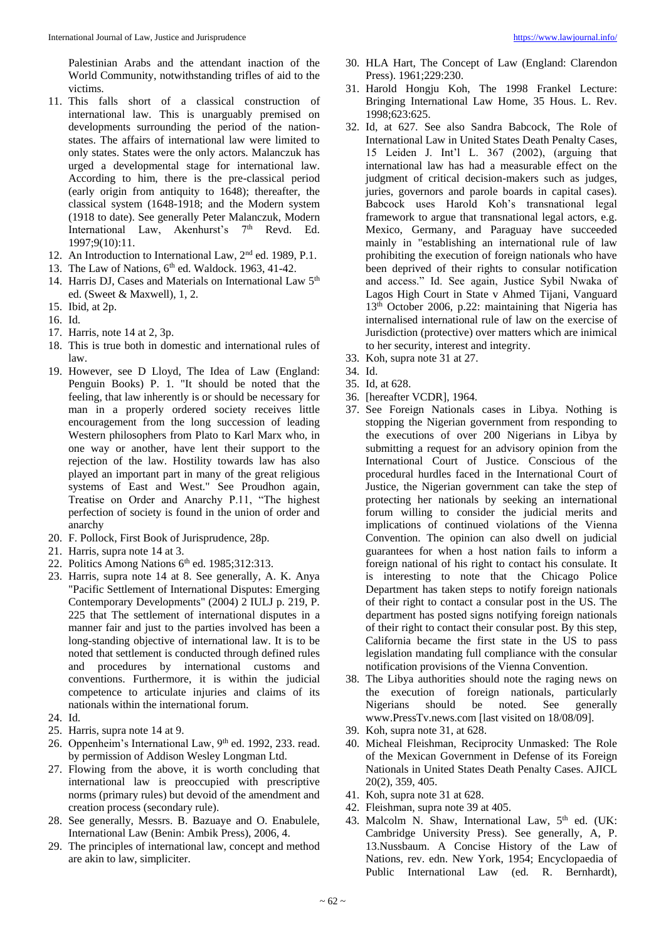Palestinian Arabs and the attendant inaction of the World Community, notwithstanding trifles of aid to the victims.

- 11. This falls short of a classical construction of international law. This is unarguably premised on developments surrounding the period of the nationstates. The affairs of international law were limited to only states. States were the only actors. Malanczuk has urged a developmental stage for international law. According to him, there is the pre-classical period (early origin from antiquity to 1648); thereafter, the classical system (1648-1918; and the Modern system (1918 to date). See generally Peter Malanczuk, Modern International Law, Akenhurst's 7<sup>th</sup> Revd. Ed. 1997;9(10):11.
- 12. An Introduction to International Law, 2nd ed. 1989, P.1.
- 13. The Law of Nations,  $6<sup>th</sup>$  ed. Waldock. 1963, 41-42.
- 14. Harris DJ, Cases and Materials on International Law 5<sup>th</sup> ed. (Sweet & Maxwell), 1, 2.
- 15. Ibid, at 2p.
- 16. Id.
- 17. Harris, note 14 at 2, 3p.
- 18. This is true both in domestic and international rules of law.
- 19. However, see D Lloyd, The Idea of Law (England: Penguin Books) P. 1. "It should be noted that the feeling, that law inherently is or should be necessary for man in a properly ordered society receives little encouragement from the long succession of leading Western philosophers from Plato to Karl Marx who, in one way or another, have lent their support to the rejection of the law. Hostility towards law has also played an important part in many of the great religious systems of East and West." See Proudhon again, Treatise on Order and Anarchy P.11, "The highest perfection of society is found in the union of order and anarchy
- 20. F. Pollock, First Book of Jurisprudence, 28p.
- 21. Harris, supra note 14 at 3.
- 22. Politics Among Nations 6th ed. 1985;312:313.
- 23. Harris, supra note 14 at 8. See generally, A. K. Anya "Pacific Settlement of International Disputes: Emerging Contemporary Developments" (2004) 2 IULJ p. 219, P. 225 that The settlement of international disputes in a manner fair and just to the parties involved has been a long-standing objective of international law. It is to be noted that settlement is conducted through defined rules and procedures by international customs and conventions. Furthermore, it is within the judicial competence to articulate injuries and claims of its nationals within the international forum.
- 24. Id.
- 25. Harris, supra note 14 at 9.
- 26. Oppenheim's International Law, 9<sup>th</sup> ed. 1992, 233. read. by permission of Addison Wesley Longman Ltd.
- 27. Flowing from the above, it is worth concluding that international law is preoccupied with prescriptive norms (primary rules) but devoid of the amendment and creation process (secondary rule).
- 28. See generally, Messrs. B. Bazuaye and O. Enabulele, International Law (Benin: Ambik Press), 2006, 4.
- 29. The principles of international law, concept and method are akin to law, simpliciter.
- 30. HLA Hart, The Concept of Law (England: Clarendon Press). 1961;229:230.
- 31. Harold Hongju Koh, The 1998 Frankel Lecture: Bringing International Law Home, 35 Hous. L. Rev. 1998;623:625.
- 32. Id, at 627. See also Sandra Babcock, The Role of International Law in United States Death Penalty Cases, 15 Leiden J. Int'l L. 367 (2002), (arguing that international law has had a measurable effect on the judgment of critical decision-makers such as judges, juries, governors and parole boards in capital cases). Babcock uses Harold Koh's transnational legal framework to argue that transnational legal actors, e.g. Mexico, Germany, and Paraguay have succeeded mainly in "establishing an international rule of law prohibiting the execution of foreign nationals who have been deprived of their rights to consular notification and access." Id. See again, Justice Sybil Nwaka of Lagos High Court in State v Ahmed Tijani, Vanguard 13th October 2006, p.22: maintaining that Nigeria has internalised international rule of law on the exercise of Jurisdiction (protective) over matters which are inimical to her security, interest and integrity.
- 33. Koh, supra note 31 at 27.
- 34. Id.
- 35. Id, at 628.
- 36. [hereafter VCDR], 1964.
- 37. See Foreign Nationals cases in Libya. Nothing is stopping the Nigerian government from responding to the executions of over 200 Nigerians in Libya by submitting a request for an advisory opinion from the International Court of Justice. Conscious of the procedural hurdles faced in the International Court of Justice, the Nigerian government can take the step of protecting her nationals by seeking an international forum willing to consider the judicial merits and implications of continued violations of the Vienna Convention. The opinion can also dwell on judicial guarantees for when a host nation fails to inform a foreign national of his right to contact his consulate. It is interesting to note that the Chicago Police Department has taken steps to notify foreign nationals of their right to contact a consular post in the US. The department has posted signs notifying foreign nationals of their right to contact their consular post. By this step, California became the first state in the US to pass legislation mandating full compliance with the consular notification provisions of the Vienna Convention.
- 38. The Libya authorities should note the raging news on the execution of foreign nationals, particularly Nigerians should be noted. See generally www.PressTv.news.com [last visited on 18/08/09].
- 39. Koh, supra note 31, at 628.
- 40. Micheal Fleishman, Reciprocity Unmasked: The Role of the Mexican Government in Defense of its Foreign Nationals in United States Death Penalty Cases. AJICL 20(2), 359, 405.
- 41. Koh, supra note 31 at 628.
- 42. Fleishman, supra note 39 at 405.
- 43. Malcolm N. Shaw, International Law,  $5<sup>th</sup>$  ed. (UK: Cambridge University Press). See generally, A, P. 13.Nussbaum. A Concise History of the Law of Nations, rev. edn. New York, 1954; Encyclopaedia of Public International Law (ed. R. Bernhardt),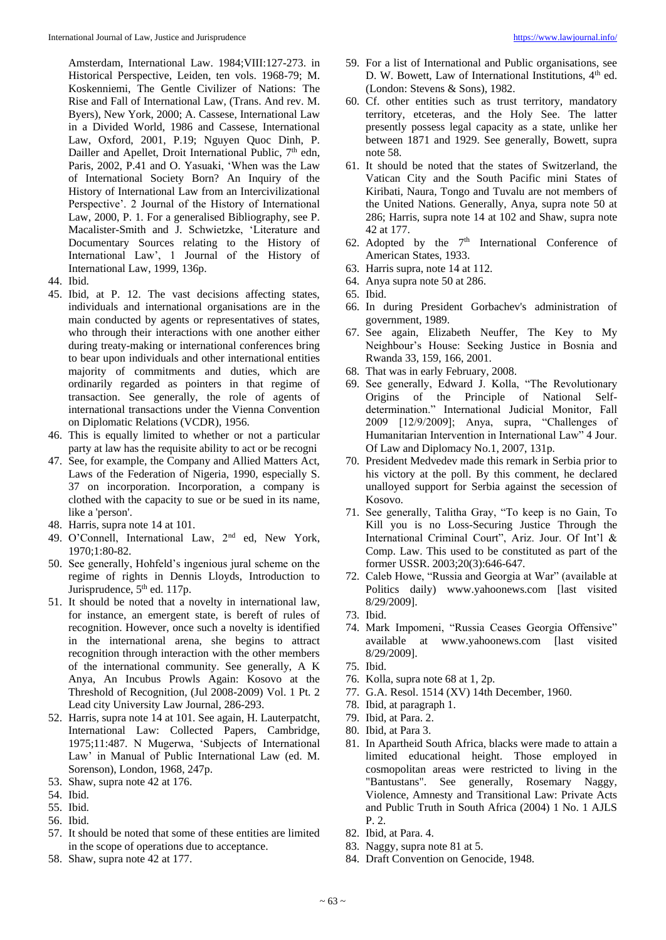Amsterdam, International Law. 1984;VIII:127-273. in Historical Perspective, Leiden, ten vols. 1968-79; M. Koskenniemi, The Gentle Civilizer of Nations: The Rise and Fall of International Law, (Trans. And rev. M. Byers), New York, 2000; A. Cassese, International Law in a Divided World, 1986 and Cassese, International Law, Oxford, 2001, P.19; Nguyen Quoc Dinh, P. Dailler and Apellet, Droit International Public, 7<sup>th</sup> edn, Paris, 2002, P.41 and O. Yasuaki, 'When was the Law of International Society Born? An Inquiry of the History of International Law from an Intercivilizational Perspective'. 2 Journal of the History of International Law, 2000, P. 1. For a generalised Bibliography, see P. Macalister-Smith and J. Schwietzke, 'Literature and Documentary Sources relating to the History of International Law', 1 Journal of the History of International Law, 1999, 136p.

- 44. Ibid.
- 45. Ibid, at P. 12. The vast decisions affecting states, individuals and international organisations are in the main conducted by agents or representatives of states, who through their interactions with one another either during treaty-making or international conferences bring to bear upon individuals and other international entities majority of commitments and duties, which are ordinarily regarded as pointers in that regime of transaction. See generally, the role of agents of international transactions under the Vienna Convention on Diplomatic Relations (VCDR), 1956.
- 46. This is equally limited to whether or not a particular party at law has the requisite ability to act or be recogni
- 47. See, for example, the Company and Allied Matters Act, Laws of the Federation of Nigeria, 1990, especially S. 37 on incorporation. Incorporation, a company is clothed with the capacity to sue or be sued in its name, like a 'person'.
- 48. Harris, supra note 14 at 101.
- 49. O'Connell, International Law, 2nd ed, New York, 1970;1:80-82.
- 50. See generally, Hohfeld's ingenious jural scheme on the regime of rights in Dennis Lloyds, Introduction to Jurisprudence,  $5<sup>th</sup>$  ed. 117p.
- 51. It should be noted that a novelty in international law, for instance, an emergent state, is bereft of rules of recognition. However, once such a novelty is identified in the international arena, she begins to attract recognition through interaction with the other members of the international community. See generally, A K Anya, An Incubus Prowls Again: Kosovo at the Threshold of Recognition, (Jul 2008-2009) Vol. 1 Pt. 2 Lead city University Law Journal, 286-293.
- 52. Harris, supra note 14 at 101. See again, H. Lauterpatcht, International Law: Collected Papers, Cambridge, 1975;11:487. N Mugerwa, 'Subjects of International Law' in Manual of Public International Law (ed. M. Sorenson), London, 1968, 247p.
- 53. Shaw, supra note 42 at 176.
- 54. Ibid.
- 55. Ibid.
- 56. Ibid.
- 57. It should be noted that some of these entities are limited in the scope of operations due to acceptance.
- 58. Shaw, supra note 42 at 177.
- 59. For a list of International and Public organisations, see D. W. Bowett, Law of International Institutions, 4<sup>th</sup> ed. (London: Stevens & Sons), 1982.
- 60. Cf. other entities such as trust territory, mandatory territory, etceteras, and the Holy See. The latter presently possess legal capacity as a state, unlike her between 1871 and 1929. See generally, Bowett, supra note 58.
- 61. It should be noted that the states of Switzerland, the Vatican City and the South Pacific mini States of Kiribati, Naura, Tongo and Tuvalu are not members of the United Nations. Generally, Anya, supra note 50 at 286; Harris, supra note 14 at 102 and Shaw, supra note 42 at 177.
- 62. Adopted by the  $7<sup>th</sup>$  International Conference of American States, 1933.
- 63. Harris supra, note 14 at 112.
- 64. Anya supra note 50 at 286.
- 65. Ibid.
- 66. In during President Gorbachev's administration of government, 1989.
- 67. See again, Elizabeth Neuffer, The Key to My Neighbour's House: Seeking Justice in Bosnia and Rwanda 33, 159, 166, 2001.
- 68. That was in early February, 2008.
- 69. See generally, Edward J. Kolla, "The Revolutionary Origins of the Principle of National Selfdetermination." International Judicial Monitor, Fall 2009 [12/9/2009]; Anya, supra, "Challenges of Humanitarian Intervention in International Law" 4 Jour. Of Law and Diplomacy No.1, 2007, 131p.
- 70. President Medvedev made this remark in Serbia prior to his victory at the poll. By this comment, he declared unalloyed support for Serbia against the secession of Kosovo.
- 71. See generally, Talitha Gray, "To keep is no Gain, To Kill you is no Loss-Securing Justice Through the International Criminal Court", Ariz. Jour. Of Int'l & Comp. Law. This used to be constituted as part of the former USSR. 2003;20(3):646-647.
- 72. Caleb Howe, "Russia and Georgia at War" (available at Politics daily) www.yahoonews.com [last visited 8/29/2009].
- 73. Ibid.
- 74. Mark Impomeni, "Russia Ceases Georgia Offensive" available at www.yahoonews.com [last visited 8/29/2009].
- 75. Ibid.
- 76. Kolla, supra note 68 at 1, 2p.
- 77. G.A. Resol. 1514 (XV) 14th December, 1960.
- 78. Ibid, at paragraph 1.
- 79. Ibid, at Para. 2.
- 80. Ibid, at Para 3.
- 81. In Apartheid South Africa, blacks were made to attain a limited educational height. Those employed in cosmopolitan areas were restricted to living in the "Bantustans". See generally, Rosemary Naggy, Violence, Amnesty and Transitional Law: Private Acts and Public Truth in South Africa (2004) 1 No. 1 AJLS P. 2.
- 82. Ibid, at Para. 4.
- 83. Naggy, supra note 81 at 5.
- 84. Draft Convention on Genocide, 1948.